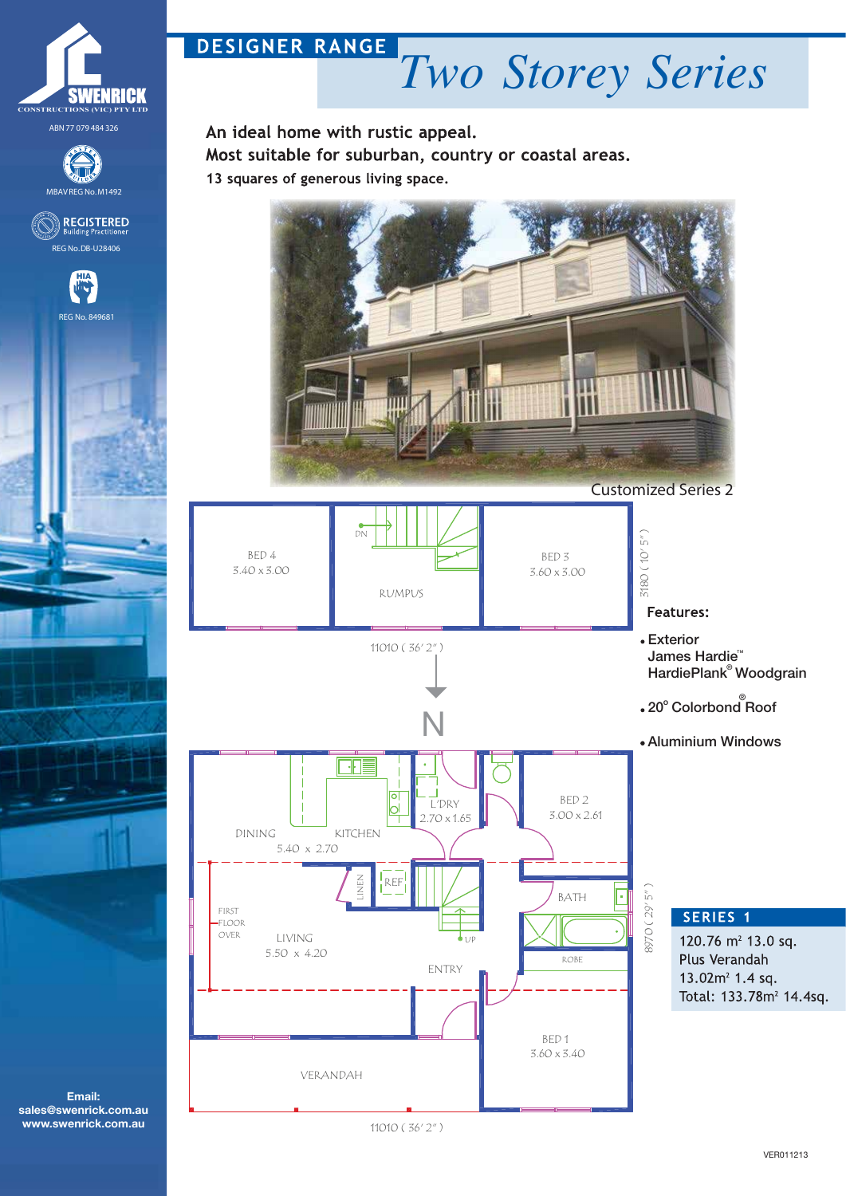

**Email: sales@swenrick.com.au www.swenrick.com.au**

## **DESIGNER RANGE** *Two Storey Series*

An ideal home with rustic appeal. Most suitable for suburban, country or coastal areas. 13 squares of generous living space.



DN 3180 ( 10' 5" )  $5<sup>n</sup>$ BED 4  $180(10'$ BED 3 3.40 x 3.00 3.60 x 3.00 RUMPUS **Features:** Exterior 11010 ( 36' 2" ) James Hardie<sup>n</sup> HardiePlank<sup>®</sup> Woodgrain 20° Colorbond<sup>®</sup> Roof N Aluminium Windows Ŧ ⊓ BED 2 L'DRY lЫ 3.00 x 2.61 2.70 x 1.65 DINING KITCHEN 5.40 x 2.70 Z<br>Z<br>J REF  $5''$ 8970 ( 29' 5" ) BATH 8970 (29' FIRST SERIES<sub>1</sub>  $-FLOOR$ OVER LIVING 120.76  $m<sup>2</sup>$  13.0 sq. UP 5.50 x 4.20 Plus Verandah ROBE ENTRY 13.02 $m^2$  1.4 sq. Total: 133.78m<sup>2</sup> 14.4sq. BED 1 3.60 x 3.40 VERANDAH 11010 ( 36' 2" )